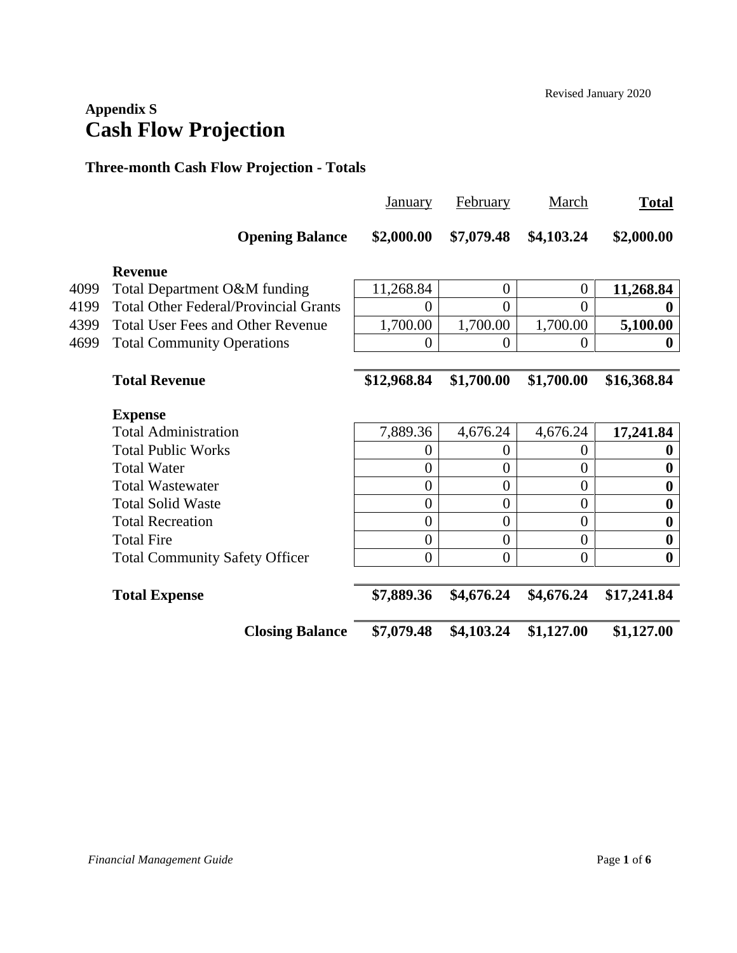## **Appendix S Cash Flow Projection**

#### **Three-month Cash Flow Projection - Totals**

|      |                                              | January          | February       | March            | <b>Total</b>     |
|------|----------------------------------------------|------------------|----------------|------------------|------------------|
|      | <b>Opening Balance</b>                       | \$2,000.00       | \$7,079.48     | \$4,103.24       | \$2,000.00       |
|      | <b>Revenue</b>                               |                  |                |                  |                  |
| 4099 | Total Department O&M funding                 | 11,268.84        | $\theta$       | $\boldsymbol{0}$ | 11,268.84        |
| 4199 | <b>Total Other Federal/Provincial Grants</b> | 0                | 0              | 0                |                  |
| 4399 | <b>Total User Fees and Other Revenue</b>     | 1,700.00         | 1,700.00       | 1,700.00         | 5,100.00         |
| 4699 | <b>Total Community Operations</b>            | 0                | $\overline{0}$ | 0                |                  |
|      |                                              |                  |                |                  |                  |
|      | <b>Total Revenue</b>                         | \$12,968.84      | \$1,700.00     | \$1,700.00       | \$16,368.84      |
|      | <b>Expense</b>                               |                  |                |                  |                  |
|      | <b>Total Administration</b>                  | 7,889.36         | 4,676.24       | 4,676.24         | 17,241.84        |
|      | <b>Total Public Works</b>                    | $\theta$         | 0              | $\theta$         | $\mathbf 0$      |
|      | <b>Total Water</b>                           | $\overline{0}$   | $\overline{0}$ | $\overline{0}$   | $\boldsymbol{0}$ |
|      | <b>Total Wastewater</b>                      | $\boldsymbol{0}$ | $\overline{0}$ | $\overline{0}$   | $\boldsymbol{0}$ |
|      | <b>Total Solid Waste</b>                     | $\overline{0}$   | $\overline{0}$ | $\overline{0}$   | $\boldsymbol{0}$ |
|      | <b>Total Recreation</b>                      | $\boldsymbol{0}$ | $\overline{0}$ | $\overline{0}$   | $\boldsymbol{0}$ |
|      | <b>Total Fire</b>                            | $\boldsymbol{0}$ | $\overline{0}$ | $\overline{0}$   | $\boldsymbol{0}$ |
|      | <b>Total Community Safety Officer</b>        | $\overline{0}$   | $\overline{0}$ | $\overline{0}$   | $\boldsymbol{0}$ |
|      | <b>Total Expense</b>                         | \$7,889.36       | \$4,676.24     | \$4,676.24       | \$17,241.84      |
|      | <b>Closing Balance</b>                       | \$7,079.48       | \$4,103.24     | \$1,127.00       | \$1,127.00       |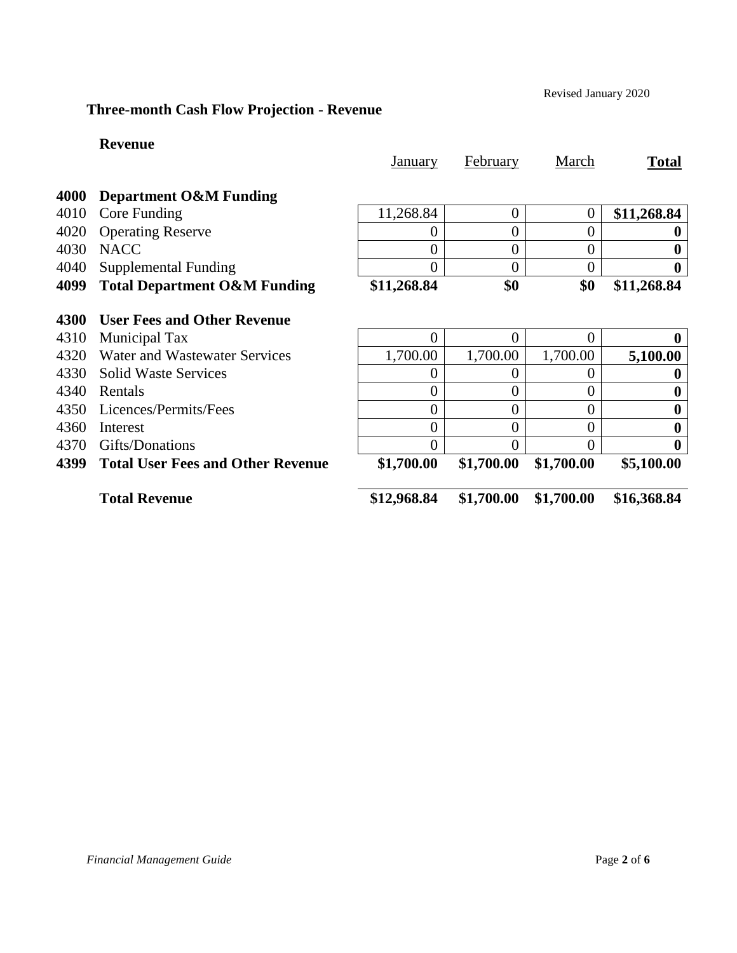Revised January 2020

### **Three-month Cash Flow Projection - Revenue**

#### **Revenue**

|      |                                          | <u>January</u>   | February       | March          | <b>Total</b> |
|------|------------------------------------------|------------------|----------------|----------------|--------------|
| 4000 | <b>Department O&amp;M Funding</b>        |                  |                |                |              |
| 4010 | Core Funding                             | 11,268.84        | $\overline{0}$ | 0              | \$11,268.84  |
| 4020 | <b>Operating Reserve</b>                 | 0                | $\overline{0}$ | 0              |              |
| 4030 | <b>NACC</b>                              | $\overline{0}$   | $\overline{0}$ | $\overline{0}$ |              |
| 4040 | Supplemental Funding                     | 0                | $\overline{0}$ | 0              |              |
| 4099 | <b>Total Department O&amp;M Funding</b>  | \$11,268.84      | \$0            | \$0            | \$11,268.84  |
| 4300 | <b>User Fees and Other Revenue</b>       |                  |                |                |              |
| 4310 | Municipal Tax                            | 0                | $\overline{0}$ | 0              |              |
| 4320 | Water and Wastewater Services            | 1,700.00         | 1,700.00       | 1,700.00       | 5,100.00     |
| 4330 | <b>Solid Waste Services</b>              | $\left( \right)$ | $\overline{0}$ | 0              |              |
| 4340 | Rentals                                  | 0                | $\overline{0}$ | 0              |              |
| 4350 | Licences/Permits/Fees                    | $\overline{0}$   | $\overline{0}$ | 0              |              |
| 4360 | Interest                                 | $\overline{0}$   | $\overline{0}$ | 0              | 0            |
| 4370 | Gifts/Donations                          | $\Omega$         | $\theta$       | 0              | 0            |
| 4399 | <b>Total User Fees and Other Revenue</b> | \$1,700.00       | \$1,700.00     | \$1,700.00     | \$5,100.00   |
|      | <b>Total Revenue</b>                     | \$12,968.84      | \$1,700.00     | \$1,700.00     | \$16,368.84  |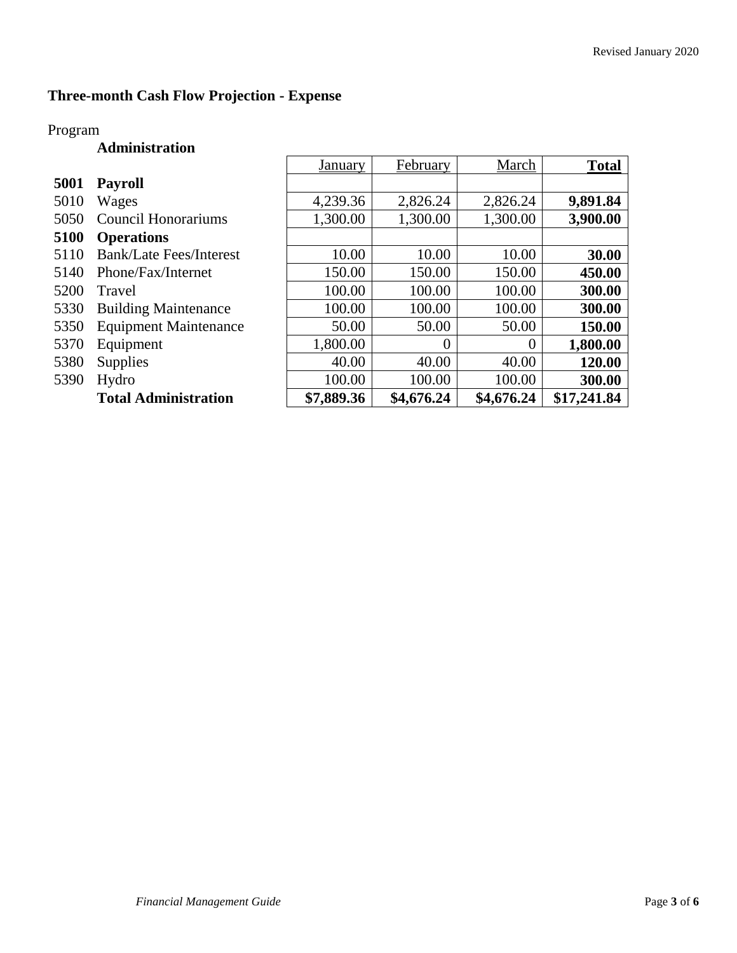h

### **Three-month Cash Flow Projection - Expense**

### Program

#### **Administration**

|      |                                | January    | February   | March      | <b>Total</b> |
|------|--------------------------------|------------|------------|------------|--------------|
| 5001 | <b>Payroll</b>                 |            |            |            |              |
| 5010 | Wages                          | 4,239.36   | 2,826.24   | 2,826.24   | 9,891.84     |
| 5050 | Council Honorariums            | 1,300.00   | 1,300.00   | 1,300.00   | 3,900.00     |
| 5100 | <b>Operations</b>              |            |            |            |              |
| 5110 | <b>Bank/Late Fees/Interest</b> | 10.00      | 10.00      | 10.00      | 30.00        |
| 5140 | Phone/Fax/Internet             | 150.00     | 150.00     | 150.00     | 450.00       |
| 5200 | Travel                         | 100.00     | 100.00     | 100.00     | 300.00       |
| 5330 | <b>Building Maintenance</b>    | 100.00     | 100.00     | 100.00     | 300.00       |
| 5350 | <b>Equipment Maintenance</b>   | 50.00      | 50.00      | 50.00      | 150.00       |
| 5370 | Equipment                      | 1,800.00   | $\theta$   | $\theta$   | 1,800.00     |
| 5380 | <b>Supplies</b>                | 40.00      | 40.00      | 40.00      | 120.00       |
| 5390 | Hydro                          | 100.00     | 100.00     | 100.00     | 300.00       |
|      | <b>Total Administration</b>    | \$7,889.36 | \$4,676.24 | \$4,676.24 | \$17,241.84  |

 $\mathbf{r}$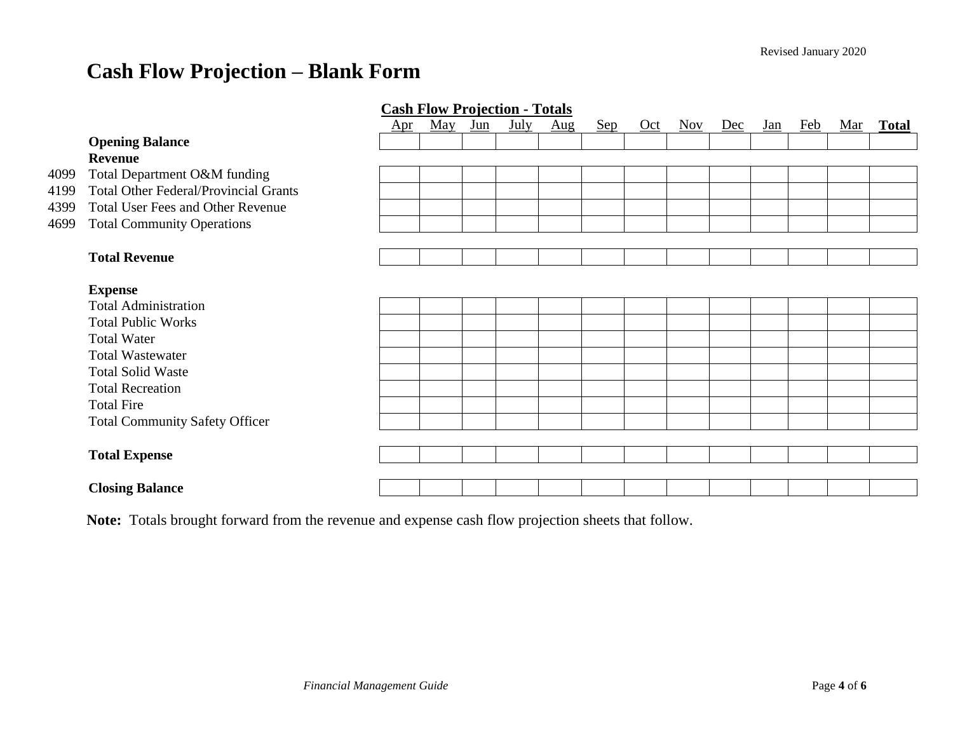# **Cash Flow Projection – Blank Form**

|      | <b>Cash Flow Projection - Totals</b>         |              |                         |       |      |                                 |     |     |                         |     |            |            |            |              |
|------|----------------------------------------------|--------------|-------------------------|-------|------|---------------------------------|-----|-----|-------------------------|-----|------------|------------|------------|--------------|
|      |                                              | $_{\rm Apr}$ | $\overline{\text{May}}$ | $Jun$ | July | $\frac{\text{Aug}}{\text{Aug}}$ | Sep | Oct | $\overline{\text{Nov}}$ | Dec | <u>Jan</u> | <b>Feb</b> | <u>Mar</u> | <b>Total</b> |
|      | <b>Opening Balance</b>                       |              |                         |       |      |                                 |     |     |                         |     |            |            |            |              |
|      | <b>Revenue</b>                               |              |                         |       |      |                                 |     |     |                         |     |            |            |            |              |
| 4099 | Total Department O&M funding                 |              |                         |       |      |                                 |     |     |                         |     |            |            |            |              |
| 4199 | <b>Total Other Federal/Provincial Grants</b> |              |                         |       |      |                                 |     |     |                         |     |            |            |            |              |
| 4399 | <b>Total User Fees and Other Revenue</b>     |              |                         |       |      |                                 |     |     |                         |     |            |            |            |              |
| 4699 | <b>Total Community Operations</b>            |              |                         |       |      |                                 |     |     |                         |     |            |            |            |              |
|      |                                              |              |                         |       |      |                                 |     |     |                         |     |            |            |            |              |
|      | <b>Total Revenue</b>                         |              |                         |       |      |                                 |     |     |                         |     |            |            |            |              |
|      |                                              |              |                         |       |      |                                 |     |     |                         |     |            |            |            |              |
|      | <b>Expense</b>                               |              |                         |       |      |                                 |     |     |                         |     |            |            |            |              |
|      | <b>Total Administration</b>                  |              |                         |       |      |                                 |     |     |                         |     |            |            |            |              |
|      | <b>Total Public Works</b>                    |              |                         |       |      |                                 |     |     |                         |     |            |            |            |              |
|      | <b>Total Water</b>                           |              |                         |       |      |                                 |     |     |                         |     |            |            |            |              |
|      | <b>Total Wastewater</b>                      |              |                         |       |      |                                 |     |     |                         |     |            |            |            |              |
|      | <b>Total Solid Waste</b>                     |              |                         |       |      |                                 |     |     |                         |     |            |            |            |              |
|      | <b>Total Recreation</b>                      |              |                         |       |      |                                 |     |     |                         |     |            |            |            |              |
|      | <b>Total Fire</b>                            |              |                         |       |      |                                 |     |     |                         |     |            |            |            |              |
|      | <b>Total Community Safety Officer</b>        |              |                         |       |      |                                 |     |     |                         |     |            |            |            |              |
|      |                                              |              |                         |       |      |                                 |     |     |                         |     |            |            |            |              |
|      | <b>Total Expense</b>                         |              |                         |       |      |                                 |     |     |                         |     |            |            |            |              |
|      |                                              |              |                         |       |      |                                 |     |     |                         |     |            |            |            |              |
|      | <b>Closing Balance</b>                       |              |                         |       |      |                                 |     |     |                         |     |            |            |            |              |

**Note:** Totals brought forward from the revenue and expense cash flow projection sheets that follow.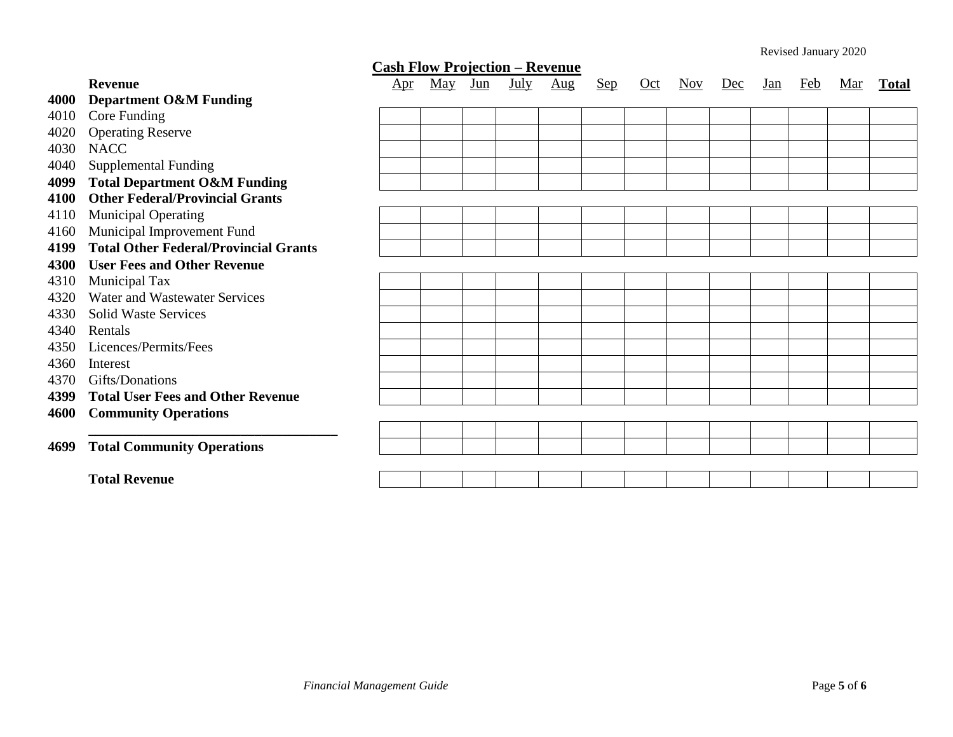| <b>Cash Flow Projection - Revenue</b> |                                              |              |                         |       |      |                                 |            |     |                         |     |            |            |            |              |
|---------------------------------------|----------------------------------------------|--------------|-------------------------|-------|------|---------------------------------|------------|-----|-------------------------|-----|------------|------------|------------|--------------|
|                                       | <b>Revenue</b>                               | $_{\rm Apr}$ | $\overline{\text{May}}$ | $Jun$ | July | $\frac{\text{Aug}}{\text{Aug}}$ | <u>Sep</u> | Oct | $\overline{\text{Nov}}$ | Dec | <u>Jan</u> | <u>Feb</u> | <u>Mar</u> | <b>Total</b> |
| 4000                                  | <b>Department O&amp;M Funding</b>            |              |                         |       |      |                                 |            |     |                         |     |            |            |            |              |
| 4010                                  | Core Funding                                 |              |                         |       |      |                                 |            |     |                         |     |            |            |            |              |
| 4020                                  | <b>Operating Reserve</b>                     |              |                         |       |      |                                 |            |     |                         |     |            |            |            |              |
| 4030                                  | <b>NACC</b>                                  |              |                         |       |      |                                 |            |     |                         |     |            |            |            |              |
| 4040                                  | <b>Supplemental Funding</b>                  |              |                         |       |      |                                 |            |     |                         |     |            |            |            |              |
| 4099                                  | <b>Total Department O&amp;M Funding</b>      |              |                         |       |      |                                 |            |     |                         |     |            |            |            |              |
| 4100                                  | <b>Other Federal/Provincial Grants</b>       |              |                         |       |      |                                 |            |     |                         |     |            |            |            |              |
| 4110                                  | <b>Municipal Operating</b>                   |              |                         |       |      |                                 |            |     |                         |     |            |            |            |              |
| 4160                                  | Municipal Improvement Fund                   |              |                         |       |      |                                 |            |     |                         |     |            |            |            |              |
| 4199                                  | <b>Total Other Federal/Provincial Grants</b> |              |                         |       |      |                                 |            |     |                         |     |            |            |            |              |
| 4300                                  | <b>User Fees and Other Revenue</b>           |              |                         |       |      |                                 |            |     |                         |     |            |            |            |              |
| 4310                                  | Municipal Tax                                |              |                         |       |      |                                 |            |     |                         |     |            |            |            |              |
| 4320                                  | Water and Wastewater Services                |              |                         |       |      |                                 |            |     |                         |     |            |            |            |              |
| 4330                                  | <b>Solid Waste Services</b>                  |              |                         |       |      |                                 |            |     |                         |     |            |            |            |              |
| 4340                                  | Rentals                                      |              |                         |       |      |                                 |            |     |                         |     |            |            |            |              |
| 4350                                  | Licences/Permits/Fees                        |              |                         |       |      |                                 |            |     |                         |     |            |            |            |              |
| 4360                                  | Interest                                     |              |                         |       |      |                                 |            |     |                         |     |            |            |            |              |
| 4370                                  | Gifts/Donations                              |              |                         |       |      |                                 |            |     |                         |     |            |            |            |              |
| 4399                                  | <b>Total User Fees and Other Revenue</b>     |              |                         |       |      |                                 |            |     |                         |     |            |            |            |              |
| 4600                                  | <b>Community Operations</b>                  |              |                         |       |      |                                 |            |     |                         |     |            |            |            |              |
|                                       |                                              |              |                         |       |      |                                 |            |     |                         |     |            |            |            |              |
| 4699                                  | <b>Total Community Operations</b>            |              |                         |       |      |                                 |            |     |                         |     |            |            |            |              |
|                                       |                                              |              |                         |       |      |                                 |            |     |                         |     |            |            |            |              |
|                                       | <b>Total Revenue</b>                         |              |                         |       |      |                                 |            |     |                         |     |            |            |            |              |